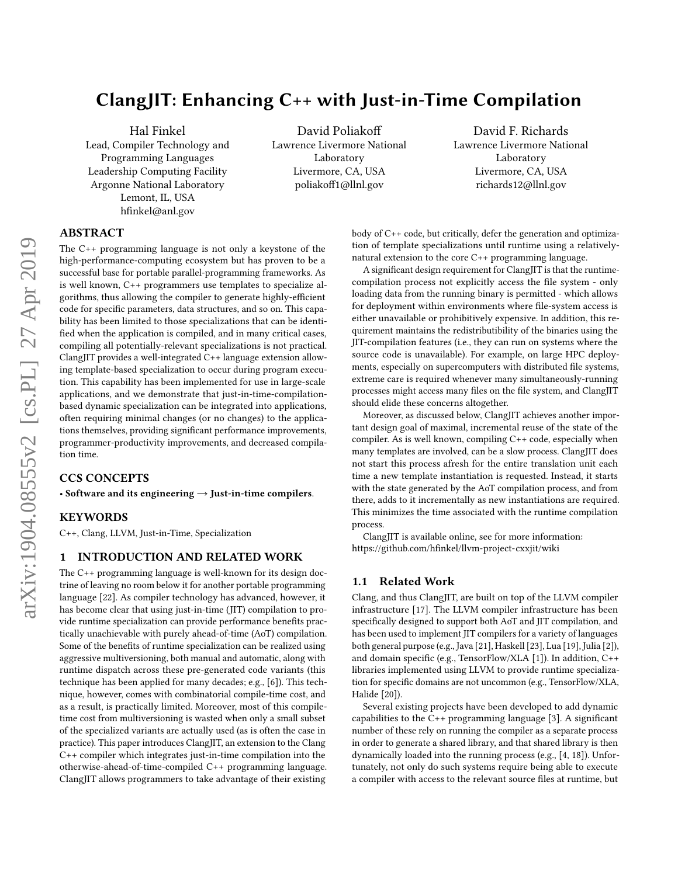# ClangJIT: Enhancing C++ with Just-in-Time Compilation

Hal Finkel Lead, Compiler Technology and Programming Languages Leadership Computing Facility Argonne National Laboratory Lemont, IL, USA hfinkel@anl.gov

David Poliakoff Lawrence Livermore National Laboratory Livermore, CA, USA poliakoff1@llnl.gov

David F. Richards Lawrence Livermore National Laboratory Livermore, CA, USA richards12@llnl.gov

# ABSTRACT

The C++ programming language is not only a keystone of the high-performance-computing ecosystem but has proven to be a successful base for portable parallel-programming frameworks. As is well known, C++ programmers use templates to specialize algorithms, thus allowing the compiler to generate highly-efficient code for specific parameters, data structures, and so on. This capability has been limited to those specializations that can be identified when the application is compiled, and in many critical cases, compiling all potentially-relevant specializations is not practical. ClangJIT provides a well-integrated C++ language extension allowing template-based specialization to occur during program execution. This capability has been implemented for use in large-scale applications, and we demonstrate that just-in-time-compilationbased dynamic specialization can be integrated into applications, often requiring minimal changes (or no changes) to the applications themselves, providing significant performance improvements, programmer-productivity improvements, and decreased compilation time.

### CCS CONCEPTS

• Software and its engineering  $\rightarrow$  Just-in-time compilers.

# **KEYWORDS**

C++, Clang, LLVM, Just-in-Time, Specialization

#### 1 INTRODUCTION AND RELATED WORK

The C++ programming language is well-known for its design doctrine of leaving no room below it for another portable programming language [\[22\]](#page-10-0). As compiler technology has advanced, however, it has become clear that using just-in-time (JIT) compilation to provide runtime specialization can provide performance benefits practically unachievable with purely ahead-of-time (AoT) compilation. Some of the benefits of runtime specialization can be realized using aggressive multiversioning, both manual and automatic, along with runtime dispatch across these pre-generated code variants (this technique has been applied for many decades; e.g., [\[6\]](#page-10-1)). This technique, however, comes with combinatorial compile-time cost, and as a result, is practically limited. Moreover, most of this compiletime cost from multiversioning is wasted when only a small subset of the specialized variants are actually used (as is often the case in practice). This paper introduces ClangJIT, an extension to the Clang C++ compiler which integrates just-in-time compilation into the otherwise-ahead-of-time-compiled C++ programming language. ClangJIT allows programmers to take advantage of their existing

body of C++ code, but critically, defer the generation and optimization of template specializations until runtime using a relativelynatural extension to the core C++ programming language.

A significant design requirement for ClangJIT is that the runtimecompilation process not explicitly access the file system - only loading data from the running binary is permitted - which allows for deployment within environments where file-system access is either unavailable or prohibitively expensive. In addition, this requirement maintains the redistributibility of the binaries using the JIT-compilation features (i.e., they can run on systems where the source code is unavailable). For example, on large HPC deployments, especially on supercomputers with distributed file systems, extreme care is required whenever many simultaneously-running processes might access many files on the file system, and ClangJIT should elide these concerns altogether.

Moreover, as discussed below, ClangJIT achieves another important design goal of maximal, incremental reuse of the state of the compiler. As is well known, compiling C++ code, especially when many templates are involved, can be a slow process. ClangJIT does not start this process afresh for the entire translation unit each time a new template instantiation is requested. Instead, it starts with the state generated by the AoT compilation process, and from there, adds to it incrementally as new instantiations are required. This minimizes the time associated with the runtime compilation process.

ClangJIT is available online, see for more information: <https://github.com/hfinkel/llvm-project-cxxjit/wiki>

## 1.1 Related Work

Clang, and thus ClangJIT, are built on top of the LLVM compiler infrastructure [\[17\]](#page-10-2). The LLVM compiler infrastructure has been specifically designed to support both AoT and JIT compilation, and has been used to implement JIT compilers for a variety of languages both general purpose (e.g., Java [\[21\]](#page-10-3), Haskell [\[23\]](#page-10-4), Lua [\[19\]](#page-10-5), Julia [\[2\]](#page-10-6)), and domain specific (e.g., TensorFlow/XLA [\[1\]](#page-10-7)). In addition, C++ libraries implemented using LLVM to provide runtime specialization for specific domains are not uncommon (e.g., TensorFlow/XLA, Halide [\[20\]](#page-10-8)).

Several existing projects have been developed to add dynamic capabilities to the C++ programming language [\[3\]](#page-10-9). A significant number of these rely on running the compiler as a separate process in order to generate a shared library, and that shared library is then dynamically loaded into the running process (e.g., [\[4,](#page-10-10) [18\]](#page-10-11)). Unfortunately, not only do such systems require being able to execute a compiler with access to the relevant source files at runtime, but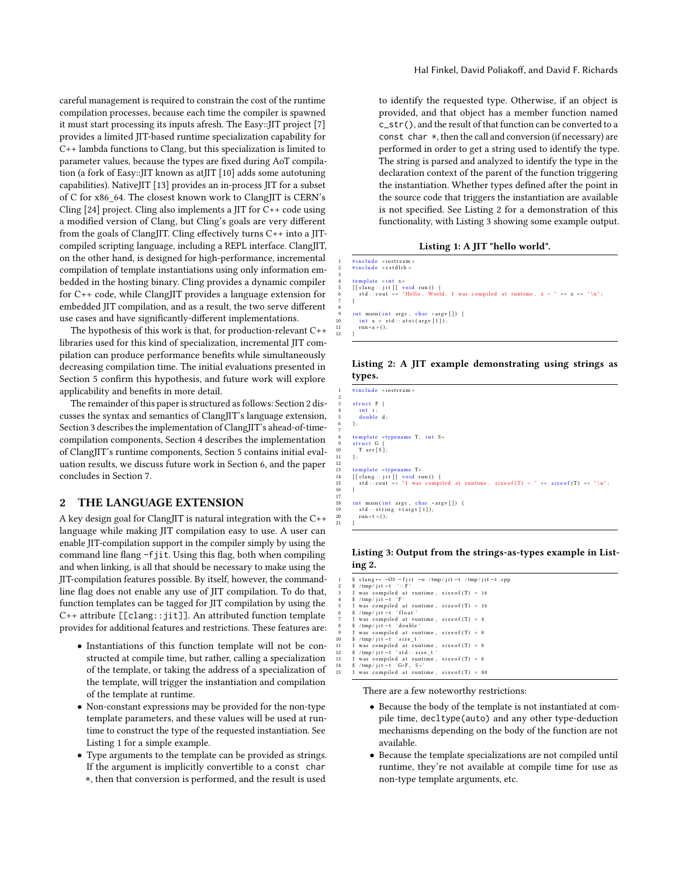careful management is required to constrain the cost of the runtime compilation processes, because each time the compiler is spawned it must start processing its inputs afresh. The Easy::JIT project [\[7\]](#page-10-12) provides a limited JIT-based runtime specialization capability for C++ lambda functions to Clang, but this specialization is limited to parameter values, because the types are fixed during AoT compilation (a fork of Easy::JIT known as atJIT [\[10\]](#page-10-13) adds some autotuning capabilities). NativeJIT [\[13\]](#page-10-14) provides an in-process JIT for a subset of C for x86\_64. The closest known work to ClangJIT is CERN's Cling  $[24]$  project. Cling also implements a JIT for C++ code using a modified version of Clang, but Cling's goals are very different from the goals of ClangJIT. Cling effectively turns C++ into a JITcompiled scripting language, including a REPL interface. ClangJIT, on the other hand, is designed for high-performance, incremental compilation of template instantiations using only information embedded in the hosting binary. Cling provides a dynamic compiler for C++ code, while ClangJIT provides a language extension for embedded JIT compilation, and as a result, the two serve different use cases and have significantly-different implementations.

The hypothesis of this work is that, for production-relevant C++ libraries used for this kind of specialization, incremental JIT compilation can produce performance benefits while simultaneously decreasing compilation time. The initial evaluations presented in Section [5](#page-4-0) confirm this hypothesis, and future work will explore applicability and benefits in more detail.

The remainder of this paper is structured as follows: Section [2](#page-1-0) discusses the syntax and semantics of ClangJIT's language extension, Section [3](#page-2-0) describes the implementation of ClangJIT's ahead-of-timecompilation components, Section [4](#page-3-0) describes the implementation of ClangJIT's runtime components, Section [5](#page-4-0) contains initial evaluation results, we discuss future work in Section [6,](#page-8-0) and the paper concludes in Section [7.](#page-9-0)

# <span id="page-1-0"></span>2 THE LANGUAGE EXTENSION

A key design goal for ClangJIT is natural integration with the C++ language while making JIT compilation easy to use. A user can enable JIT-compilation support in the compiler simply by using the command line flang -fjit. Using this flag, both when compiling and when linking, is all that should be necessary to make using the JIT-compilation features possible. By itself, however, the commandline flag does not enable any use of JIT compilation. To do that, function templates can be tagged for JIT compilation by using the C++ attribute [[clang::jit]]. An attributed function template provides for additional features and restrictions. These features are:

- Instantiations of this function template will not be constructed at compile time, but rather, calling a specialization of the template, or taking the address of a specialization of the template, will trigger the instantiation and compilation of the template at runtime.
- Non-constant expressions may be provided for the non-type template parameters, and these values will be used at runtime to construct the type of the requested instantiation. See Listing [1](#page-1-1) for a simple example.
- Type arguments to the template can be provided as strings. If the argument is implicitly convertible to a const char \*, then that conversion is performed, and the result is used

Hal Finkel, David Poliakoff, and David F. Richards

to identify the requested type. Otherwise, if an object is provided, and that object has a member function named c\_str(), and the result of that function can be converted to a const char  $*$ , then the call and conversion (if necessary) are performed in order to get a string used to identify the type. The string is parsed and analyzed to identify the type in the declaration context of the parent of the function triggering the instantiation. Whether types defined after the point in the source code that triggers the instantiation are available is not specified. See Listing [2](#page-1-2) for a demonstration of this functionality, with Listing [3](#page-1-3) showing some example output.

Listing 1: A JIT "hello world".

<span id="page-1-1"></span>

| #include <iostream></iostream>                                                    |
|-----------------------------------------------------------------------------------|
| $#include$ $\leq$ cstdlib $>$                                                     |
|                                                                                   |
| $template \le int x$                                                              |
| $\lceil$ clang :: jit $\lceil$ void run() {                                       |
| std::cout << "Hello, World, I was compiled at runtime, $x =$ " << $x \le x$ "\n"; |
|                                                                                   |
|                                                                                   |
| int main(int argc, char *argv[]) {                                                |
| int $a = std::atio(argv[1]):$                                                     |
| run <a> <math>(</math> <math>)</math> ;</a>                                       |
|                                                                                   |

<span id="page-1-2"></span>Listing 2: A JIT example demonstrating using strings as types.

| -1              | #include <iostream></iostream>                                                     |
|-----------------|------------------------------------------------------------------------------------|
| $\overline{c}$  |                                                                                    |
| 3               | struct $F \{$                                                                      |
|                 |                                                                                    |
| $\overline{4}$  | int i:                                                                             |
| $\overline{5}$  | double d:                                                                          |
| 6               | };                                                                                 |
| 7               |                                                                                    |
| $8\phantom{.0}$ | template <typename int="" s="" t,=""></typename>                                   |
| 9               | struct G {                                                                         |
| 10              | $T \arr[S];$                                                                       |
| 11              | 1:                                                                                 |
| 12              |                                                                                    |
| 13              | template <typename t=""></typename>                                                |
| 14              | $\lceil$ [clang :: jit ]] void run() {                                             |
| 15              | std::cout << "I was compiled at runtime, size of $(T) = " \ll size of(T) \ll "n";$ |
| 16              |                                                                                    |
| 17              |                                                                                    |
|                 |                                                                                    |
| 18              | int main(int argc, char *argv[]) {                                                 |
| 19              | $std :: string$ $t(argv[1]):$                                                      |
|                 |                                                                                    |

 $run < t > ()$ 21 }

#### <span id="page-1-3"></span>Listing 3: Output from the strings-as-types example in Listing [2.](#page-1-2)

| $\mathbf{1}$   | \$ clang++ $-03$ -fjit $-o$ /tmp/jit-t /tmp/jit-t.cpp |
|----------------|-------------------------------------------------------|
| 2              | $$ /tmp / jet - t$ :: F'                              |
| 3              | I was compiled at runtime, size of $(T) = 16$         |
| $\overline{4}$ | $$ /tmp / iit -t 'F'$                                 |
| 5              | I was compiled at runtime, size of $(T) = 16$         |
| 6              | \$ /tmp/jit-t 'float'                                 |
| 7              | I was compiled at runtime, size of $(T) = 4$          |
| 8              | $$ /tmp / it - t 'double'$                            |
| $\overline{9}$ | I was compiled at runtime, size of $(T) = 8$          |
| 10             | $$ /tmp/jit -t 'size t'$                              |
| 11             | I was compiled at runtime, size of (T) = 8            |
| 12             | $$ /tmp / jet - t 'std :: size t'$                    |
| 13             | I was compiled at runtime, size of $(T) = 8$          |
| 14             | $$ /tmp / jet - t 'G-F , 5 >'$                        |
| 15             | I was compiled at runtime, size of $(T) = 80$         |
|                |                                                       |

There are a few noteworthy restrictions:

- Because the body of the template is not instantiated at compile time, decltype(auto) and any other type-deduction mechanisms depending on the body of the function are not available.
- Because the template specializations are not compiled until runtime, they're not available at compile time for use as non-type template arguments, etc.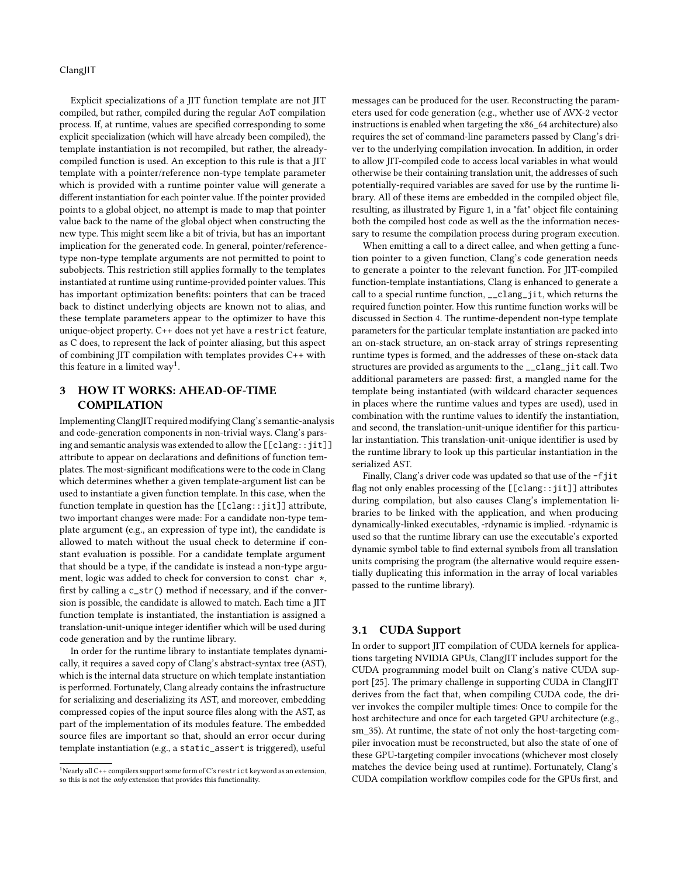Explicit specializations of a JIT function template are not JIT compiled, but rather, compiled during the regular AoT compilation process. If, at runtime, values are specified corresponding to some explicit specialization (which will have already been compiled), the template instantiation is not recompiled, but rather, the alreadycompiled function is used. An exception to this rule is that a JIT template with a pointer/reference non-type template parameter which is provided with a runtime pointer value will generate a different instantiation for each pointer value. If the pointer provided points to a global object, no attempt is made to map that pointer value back to the name of the global object when constructing the new type. This might seem like a bit of trivia, but has an important implication for the generated code. In general, pointer/referencetype non-type template arguments are not permitted to point to subobjects. This restriction still applies formally to the templates instantiated at runtime using runtime-provided pointer values. This has important optimization benefits: pointers that can be traced back to distinct underlying objects are known not to alias, and these template parameters appear to the optimizer to have this unique-object property. C++ does not yet have a restrict feature, as C does, to represent the lack of pointer aliasing, but this aspect of combining JIT compilation with templates provides C++ with this feature in a limited  $way<sup>1</sup>$  $way<sup>1</sup>$  $way<sup>1</sup>$ .

# <span id="page-2-0"></span>3 HOW IT WORKS: AHEAD-OF-TIME COMPILATION

Implementing ClangJIT required modifying Clang's semantic-analysis and code-generation components in non-trivial ways. Clang's parsing and semantic analysis was extended to allow the [[clang::jit]] attribute to appear on declarations and definitions of function templates. The most-significant modifications were to the code in Clang which determines whether a given template-argument list can be used to instantiate a given function template. In this case, when the function template in question has the [[clang::jit]] attribute, two important changes were made: For a candidate non-type template argument (e.g., an expression of type int), the candidate is allowed to match without the usual check to determine if constant evaluation is possible. For a candidate template argument that should be a type, if the candidate is instead a non-type argument, logic was added to check for conversion to const char \*, first by calling a c\_str() method if necessary, and if the conversion is possible, the candidate is allowed to match. Each time a JIT function template is instantiated, the instantiation is assigned a translation-unit-unique integer identifier which will be used during code generation and by the runtime library.

In order for the runtime library to instantiate templates dynamically, it requires a saved copy of Clang's abstract-syntax tree (AST), which is the internal data structure on which template instantiation is performed. Fortunately, Clang already contains the infrastructure for serializing and deserializing its AST, and moreover, embedding compressed copies of the input source files along with the AST, as part of the implementation of its modules feature. The embedded source files are important so that, should an error occur during template instantiation (e.g., a static\_assert is triggered), useful

messages can be produced for the user. Reconstructing the parameters used for code generation (e.g., whether use of AVX-2 vector instructions is enabled when targeting the x86\_64 architecture) also requires the set of command-line parameters passed by Clang's driver to the underlying compilation invocation. In addition, in order to allow JIT-compiled code to access local variables in what would otherwise be their containing translation unit, the addresses of such potentially-required variables are saved for use by the runtime library. All of these items are embedded in the compiled object file, resulting, as illustrated by Figure [1,](#page-3-1) in a "fat" object file containing both the compiled host code as well as the the information necessary to resume the compilation process during program execution.

When emitting a call to a direct callee, and when getting a function pointer to a given function, Clang's code generation needs to generate a pointer to the relevant function. For JIT-compiled function-template instantiations, Clang is enhanced to generate a call to a special runtime function, \_\_clang\_jit, which returns the required function pointer. How this runtime function works will be discussed in Section [4.](#page-3-0) The runtime-dependent non-type template parameters for the particular template instantiation are packed into an on-stack structure, an on-stack array of strings representing runtime types is formed, and the addresses of these on-stack data structures are provided as arguments to the \_\_clang\_jit call. Two additional parameters are passed: first, a mangled name for the template being instantiated (with wildcard character sequences in places where the runtime values and types are used), used in combination with the runtime values to identify the instantiation, and second, the translation-unit-unique identifier for this particular instantiation. This translation-unit-unique identifier is used by the runtime library to look up this particular instantiation in the serialized AST.

Finally, Clang's driver code was updated so that use of the -fjit flag not only enables processing of the [[clang::jit]] attributes during compilation, but also causes Clang's implementation libraries to be linked with the application, and when producing dynamically-linked executables, -rdynamic is implied. -rdynamic is used so that the runtime library can use the executable's exported dynamic symbol table to find external symbols from all translation units comprising the program (the alternative would require essentially duplicating this information in the array of local variables passed to the runtime library).

#### 3.1 CUDA Support

In order to support JIT compilation of CUDA kernels for applications targeting NVIDIA GPUs, ClangJIT includes support for the CUDA programming model built on Clang's native CUDA support [\[25\]](#page-10-16). The primary challenge in supporting CUDA in ClangJIT derives from the fact that, when compiling CUDA code, the driver invokes the compiler multiple times: Once to compile for the host architecture and once for each targeted GPU architecture (e.g., sm\_35). At runtime, the state of not only the host-targeting compiler invocation must be reconstructed, but also the state of one of these GPU-targeting compiler invocations (whichever most closely matches the device being used at runtime). Fortunately, Clang's CUDA compilation workflow compiles code for the GPUs first, and

<span id="page-2-1"></span><sup>&</sup>lt;sup>1</sup>Nearly all C++ compilers support some form of C's restrict keyword as an extension, so this is not the only extension that provides this functionality.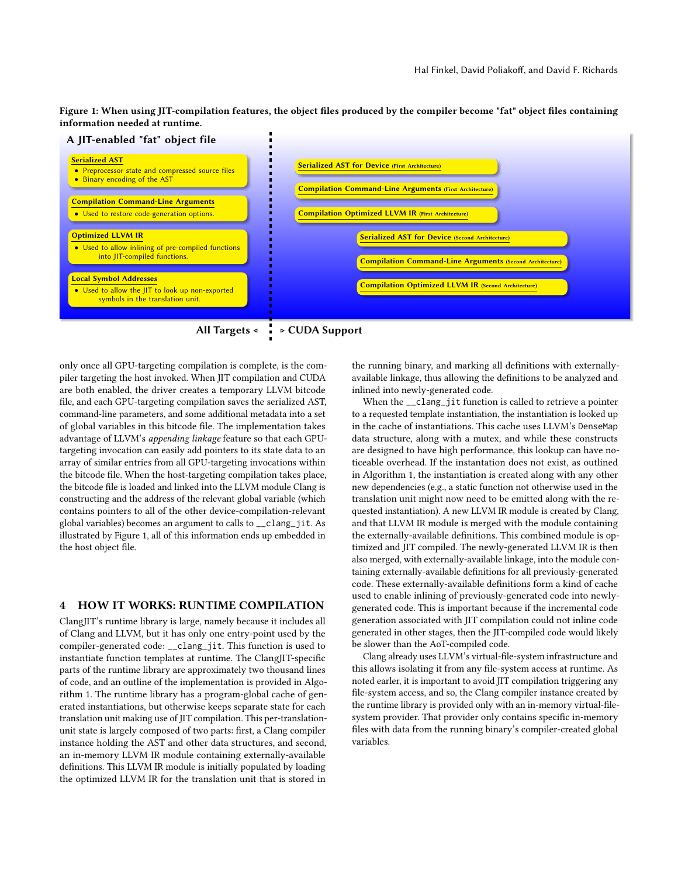<span id="page-3-1"></span>Figure 1: When using JIT-compilation features, the object files produced by the compiler become "fat" object files containing information needed at runtime.





only once all GPU-targeting compilation is complete, is the compiler targeting the host invoked. When JIT compilation and CUDA are both enabled, the driver creates a temporary LLVM bitcode file, and each GPU-targeting compilation saves the serialized AST, command-line parameters, and some additional metadata into a set of global variables in this bitcode file. The implementation takes advantage of LLVM's appending linkage feature so that each GPUtargeting invocation can easily add pointers to its state data to an array of similar entries from all GPU-targeting invocations within the bitcode file. When the host-targeting compilation takes place, the bitcode file is loaded and linked into the LLVM module Clang is constructing and the address of the relevant global variable (which contains pointers to all of the other device-compilation-relevant global variables) becomes an argument to calls to \_\_clang\_jit. As illustrated by Figure [1,](#page-3-1) all of this information ends up embedded in the host object file.

### <span id="page-3-0"></span>4 HOW IT WORKS: RUNTIME COMPILATION

ClangJIT's runtime library is large, namely because it includes all of Clang and LLVM, but it has only one entry-point used by the compiler-generated code: \_\_clang\_jit. This function is used to instantiate function templates at runtime. The ClangJIT-specific parts of the runtime library are approximately two thousand lines of code, and an outline of the implementation is provided in Algorithm [1.](#page-4-1) The runtime library has a program-global cache of generated instantiations, but otherwise keeps separate state for each translation unit making use of JIT compilation. This per-translationunit state is largely composed of two parts: first, a Clang compiler instance holding the AST and other data structures, and second, an in-memory LLVM IR module containing externally-available definitions. This LLVM IR module is initially populated by loading the optimized LLVM IR for the translation unit that is stored in

the running binary, and marking all definitions with externallyavailable linkage, thus allowing the definitions to be analyzed and inlined into newly-generated code.

When the \_\_clang\_jit function is called to retrieve a pointer to a requested template instantiation, the instantiation is looked up in the cache of instantiations. This cache uses LLVM's DenseMap data structure, along with a mutex, and while these constructs are designed to have high performance, this lookup can have noticeable overhead. If the instantation does not exist, as outlined in Algorithm [1,](#page-4-1) the instantiation is created along with any other new dependencies (e.g., a static function not otherwise used in the translation unit might now need to be emitted along with the requested instantiation). A new LLVM IR module is created by Clang, and that LLVM IR module is merged with the module containing the externally-available definitions. This combined module is optimized and JIT compiled. The newly-generated LLVM IR is then also merged, with externally-available linkage, into the module containing externally-available definitions for all previously-generated code. These externally-available definitions form a kind of cache used to enable inlining of previously-generated code into newlygenerated code. This is important because if the incremental code generation associated with JIT compilation could not inline code generated in other stages, then the JIT-compiled code would likely be slower than the AoT-compiled code.

Clang already uses LLVM's virtual-file-system infrastructure and this allows isolating it from any file-system access at runtime. As noted earler, it is important to avoid JIT compilation triggering any file-system access, and so, the Clang compiler instance created by the runtime library is provided only with an in-memory virtual-filesystem provider. That provider only contains specific in-memory files with data from the running binary's compiler-created global variables.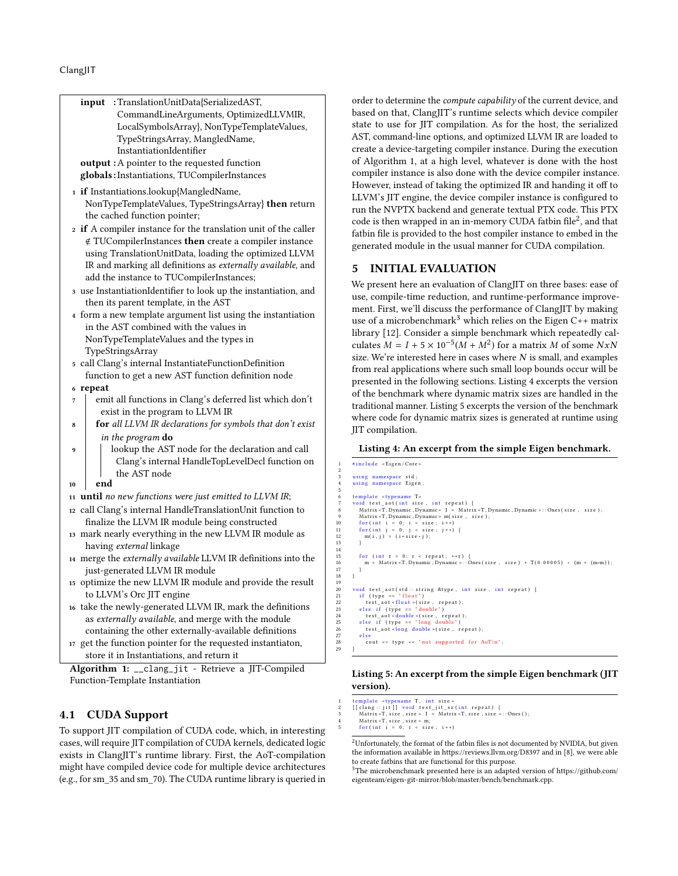|    | :TranslationUnitData{SerializedAST,<br>input                     |                               | orde                 |
|----|------------------------------------------------------------------|-------------------------------|----------------------|
|    | CommandLineArguments, OptimizedLLVMIR,                           |                               | base                 |
|    | LocalSymbolsArray}, NonTypeTemplateValues,                       |                               | state                |
|    | TypeStringsArray, MangledName,                                   |                               | AST,                 |
|    | InstantiationIdentifier                                          |                               | creat                |
|    | <b>output</b> : A pointer to the requested function              |                               | of A                 |
|    | globals: Instantiations, TUCompilerInstances                     |                               | com                  |
|    |                                                                  |                               | How                  |
|    | 1 if Instantiations.lookup{MangledName,                          |                               | <b>LLV</b>           |
|    | NonTypeTemplateValues, TypeStringsArray} then return             |                               | run t                |
|    | the cached function pointer;                                     |                               | code                 |
|    | 2 if A compiler instance for the translation unit of the caller  |                               | fatbi                |
|    | ∉ TUCompilerInstances then create a compiler instance            |                               | gene                 |
|    | using TranslationUnitData, loading the optimized LLVM            |                               |                      |
|    | IR and marking all definitions as externally available, and      |                               | 5                    |
|    | add the instance to TUCompilerInstances;                         |                               |                      |
|    | 3 use InstantiationIdentifier to look up the instantiation, and  |                               | We p                 |
|    | then its parent template, in the AST                             |                               | use,                 |
|    | 4 form a new template argument list using the instantiation      |                               | men                  |
|    | in the AST combined with the values in                           |                               | use o                |
|    | NonTypeTemplateValues and the types in                           |                               | libra                |
|    | TypeStringsArray                                                 |                               | culat                |
|    | 5 call Clang's internal InstantiateFunctionDefinition            |                               | size.                |
|    | function to get a new AST function definition node               |                               | from                 |
|    | 6 repeat                                                         |                               | pres                 |
| 7  | emit all functions in Clang's deferred list which don't          |                               | of th                |
|    | exist in the program to LLVM IR                                  |                               | tradi                |
| 8  | <b>for</b> all LLVM IR declarations for symbols that don't exist |                               | whei                 |
|    | in the program do                                                |                               | JIT c                |
| 9  | lookup the AST node for the declaration and call                 |                               | Lis                  |
|    | Clang's internal HandleTopLevelDecl function on                  | $\,1$                         | #inclu               |
|    | the AST node                                                     | $\overline{2}$<br>$\,$ 3 $\,$ | using                |
| 10 | end                                                              | $\overline{\mathbf{4}}$       | using                |
|    | 11 until no new functions were just emitted to LLVM IR;          | 5<br>6                        | templa               |
|    | 12 call Clang's internal HandleTranslationUnit function to       | $\overline{\tau}$<br>8        | void 1<br>Mat        |
|    | finalize the LLVM IR module being constructed                    | 9<br>10                       | Mati<br>for (        |
|    | 13 mark nearly everything in the new LLVM IR module as           | 11<br>12                      | for (<br>m(          |
|    | having <i>external</i> linkage                                   | 13<br>14                      |                      |
|    | 14 merge the externally available LLVM IR definitions into the   | 15                            | for                  |
|    | just-generated LLVM IR module                                    | 16<br>17                      | m                    |
|    | 15 optimize the new LLVM IR module and provide the result        | 18<br>19                      |                      |
|    | to LLVM's Orc JIT engine                                         | $20\,$<br>21                  | void 1<br>if (       |
|    | 16 take the newly-generated LLVM IR, mark the definitions        | 22<br>23                      | t e<br>else          |
|    | as externally available, and merge with the module               | 24<br>25                      |                      |
|    | containing the other externally-available definitions            | 26                            |                      |
|    | 17 get the function pointer for the requested instantiaton,      | 27<br>$\rm 28$                | else<br>$\mathbf{c}$ |
|    | store it in Instantiations, and return it                        | 29                            |                      |
|    |                                                                  |                               |                      |

Algorithm 1: \_\_clang\_jit - Retrieve a JIT-Compiled Function-Template Instantiation

# 4.1 CUDA Support

To support JIT compilation of CUDA code, which, in interesting cases, will require JIT compilation of CUDA kernels, dedicated logic exists in ClangJIT's runtime library. First, the AoT-compilation might have compiled device code for multiple device architectures (e.g., for sm\_35 and sm\_70). The CUDA runtime library is queried in

der to determine the *compute capability* of the current device, and sed on that, ClangJIT's runtime selects which device compiler te to use for JIT compilation. As for the host, the serialized T, command-line options, and optimized LLVM IR are loaded to ate a device-targeting compiler instance. During the execution Algorithm [1,](#page-4-1) at a high level, whatever is done with the host npiler instance is also done with the device compiler instance. wever, instead of taking the optimized IR and handing it off to VM's JIT engine, the device compiler instance is configured to the NVPTX backend and generate textual PTX code. This PTX code is then wrapped in an in-memory CUDA fatbin file<sup>[2](#page-4-2)</sup>, and that bin file is provided to the host compiler instance to embed in the nerated module in the usual manner for CUDA compilation.

# <span id="page-4-0"></span>5 INITIAL EVALUATION

present here an evaluation of ClangJIT on three bases: ease of e, compile-time reduction, and runtime-performance improvent. First, we'll discuss the performance of ClangJIT by making of a microbenchmark<sup>[3](#page-4-3)</sup> which relies on the Eigen C++ matrix lary [\[12\]](#page-10-17). Consider a simple benchmark which repeatedly calculates  $M = I + 5 \times 10^{-5} (M + M^2)$  for a matrix M of some NxN e. We're interested here in cases where  $N$  is small, and examples m real applications where such small loop bounds occur will be sented in the following sections. Listing [4](#page-4-4) excerpts the version the benchmark where dynamic matrix sizes are handled in the ditional manner. Listing [5](#page-4-5) excerpts the version of the benchmark ere code for dynamic matrix sizes is generated at runtime using compilation.

#### <span id="page-4-4"></span>isting 4: An excerpt from the simple Eigen benchmark.

```
clude < Eigen / Core:
 3 using namespace std;<br>4 using namespace Eigen;
                   plate <typename T>
 7 – void test_aot(int size, int repeat) {<br>8 – Matrix-T,Dynamnic,Dynamnic> I = Matrix-T,Dynamic,Dynamic>::Ones(size, size);<br>9 – Matrix-T,Dynamic,Dynamic> m(size, size);
10 for (int i = 0; i < size; i++)<br>
11 for (int j = 0; j < size; j++) {<br>
12 m(i,j) = (i+size*j);
15 for (int r = 0; r < repeat; ++r) {<br>16 m = Matrix <T, Dynamic, Dynamic >:: Ones (size, size) + T(0.00005) * (m + (m*m));
20 void test_aot(std::string &type, int size, int repeat) {<br>21 if (type == "float")<br>22 test_aot<float>(size, repeat);<br>23 else if (type == "double")
24 test_aot < double > (size, repeat);<br>25 else if (type == "long double")
                    2(326 \times 10000C) (size, repeat),<br>
2(326 \times 10000C)<br>
2(326 \times 1000C)<br>
2(326 \times 1000C)<br>
2(326 \times 1000C)<br>
2(326 \times 1000C)<br>
2(326 \times 1000C)<br>
2(326 \times 1000C)<br>
2(326 \times 1000C)<br>
2(326 \times 1000C)<br>
2(326 \times 1000C)cout << type << "not supported for AoT\n";
```
### <span id="page-4-5"></span>Listing 5: An excerpt from the simple Eigen benchmark (JIT version).

```
1 template «typename T, int size»<br>
2 [[clang:: jit]] void test_jit_sz(int repeat) {<br>
Matrix<T, size, size > I = Matrix<T, size, size >::Ones();<br>
4 Matrix<T, size, size > m;<br>
for (int i = 0; i < size; i++)
```
<span id="page-4-2"></span> $^2$ Unfortunately, the format of the fatbin files is not documented by NVIDIA, but given the information available in<https://reviews.llvm.org/D8397> and in [\[8\]](#page-10-18), we were able to create fatbins that are functional for this purpose.

<span id="page-4-3"></span><sup>3</sup>The microbenchmark presented here is an adapted version of [https://github.com/](https://github.com/eigenteam/eigen-git-mirror/blob/master/bench/benchmark.cpp) [eigenteam/eigen-git-mirror/blob/master/bench/benchmark.cpp.](https://github.com/eigenteam/eigen-git-mirror/blob/master/bench/benchmark.cpp)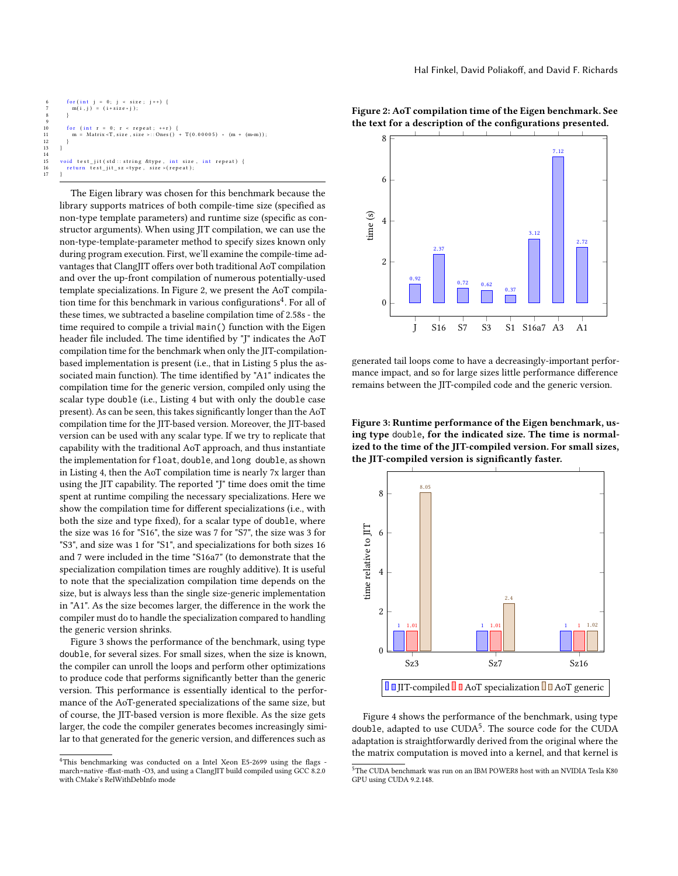```
6 for (int j = 0; j < size; j ++) {<br>7 m(i,j) = (i + size * j);
 8 }
10 for (int r = 0; r < repeat; ++r) {<br>
11 m = Matrix < T, size , size >::Ones () + T(0.00005) * (m + (m*m));
15 void test_jit(std::string &type, int size, int repeat){<br>16 return test_jit_sz <type, size >(repeat);
```
The Eigen library was chosen for this benchmark because the library supports matrices of both compile-time size (specified as non-type template parameters) and runtime size (specific as constructor arguments). When using JIT compilation, we can use the non-type-template-parameter method to specify sizes known only during program execution. First, we'll examine the compile-time advantages that ClangJIT offers over both traditional AoT compilation and over the up-front compilation of numerous potentially-used template specializations. In Figure [2,](#page-5-0) we present the AoT compila-tion time for this benchmark in various configurations<sup>[4](#page-5-1)</sup>. For all of these times, we subtracted a baseline compilation time of 2.58s - the time required to compile a trivial main() function with the Eigen header file included. The time identified by "J" indicates the AoT compilation time for the benchmark when only the JIT-compilationbased implementation is present (i.e., that in Listing [5](#page-4-5) plus the associated main function). The time identified by "A1" indicates the compilation time for the generic version, compiled only using the scalar type double (i.e., Listing [4](#page-4-4) but with only the double case present). As can be seen, this takes significantly longer than the AoT compilation time for the JIT-based version. Moreover, the JIT-based version can be used with any scalar type. If we try to replicate that capability with the traditional AoT approach, and thus instantiate the implementation for float, double, and long double, as shown in Listing [4,](#page-4-4) then the AoT compilation time is nearly 7x larger than using the JIT capability. The reported "J" time does omit the time spent at runtime compiling the necessary specializations. Here we show the compilation time for different specializations (i.e., with both the size and type fixed), for a scalar type of double, where the size was 16 for "S16", the size was 7 for "S7", the size was 3 for "S3", and size was 1 for "S1", and specializations for both sizes 16 and 7 were included in the time "S16a7" (to demonstrate that the specialization compilation times are roughly additive). It is useful to note that the specialization compilation time depends on the size, but is always less than the single size-generic implementation in "A1". As the size becomes larger, the difference in the work the compiler must do to handle the specialization compared to handling the generic version shrinks.

Figure [3](#page-5-2) shows the performance of the benchmark, using type double, for several sizes. For small sizes, when the size is known, the compiler can unroll the loops and perform other optimizations to produce code that performs significantly better than the generic version. This performance is essentially identical to the performance of the AoT-generated specializations of the same size, but of course, the JIT-based version is more flexible. As the size gets larger, the code the compiler generates becomes increasingly similar to that generated for the generic version, and differences such as

<span id="page-5-0"></span>



generated tail loops come to have a decreasingly-important performance impact, and so for large sizes little performance difference remains between the JIT-compiled code and the generic version.

<span id="page-5-2"></span>Figure 3: Runtime performance of the Eigen benchmark, using type double, for the indicated size. The time is normalized to the time of the JIT-compiled version. For small sizes, the JIT-compiled version is significantly faster.



Figure [4](#page-6-0) shows the performance of the benchmark, using type double, adapted to use CUDA<sup>[5](#page-5-3)</sup>. The source code for the CUDA adaptation is straightforwardly derived from the original where the the matrix computation is moved into a kernel, and that kernel is

<span id="page-5-1"></span> $4$ This benchmarking was conducted on a Intel Xeon E5-2699 using the flags march=native -ffast-math -O3, and using a ClangJIT build compiled using GCC 8.2.0 with CMake's RelWithDebInfo mode

<span id="page-5-3"></span> $^5\mathrm{The}$  CUDA benchmark was run on an IBM POWER8 host with an NVIDIA Tesla K80 GPU using CUDA 9.2.148.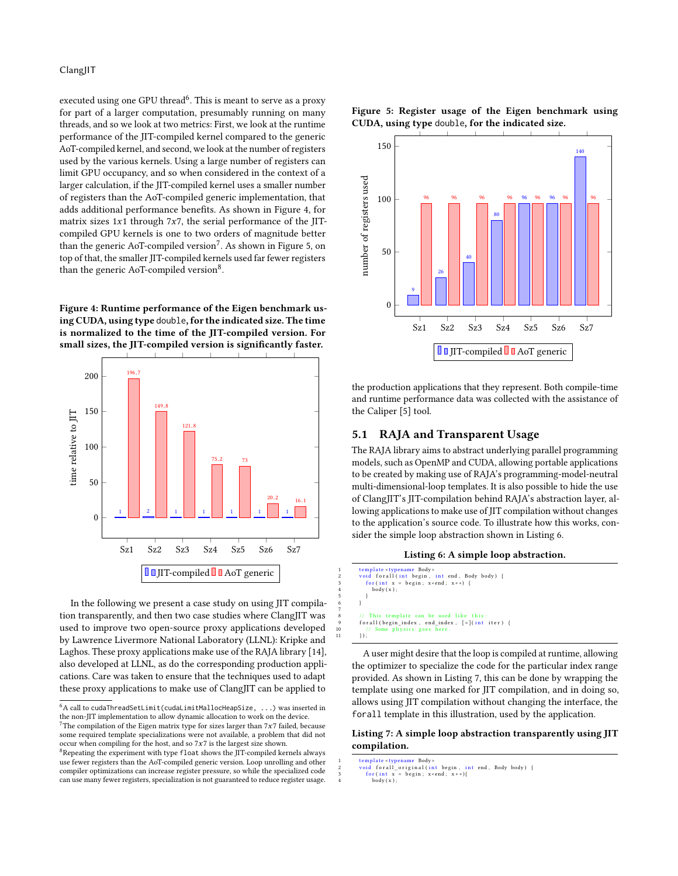executed using one GPU thread<sup>[6](#page-6-1)</sup>. This is meant to serve as a proxy for part of a larger computation, presumably running on many threads, and so we look at two metrics: First, we look at the runtime performance of the JIT-compiled kernel compared to the generic AoT-compiled kernel, and second, we look at the number of registers used by the various kernels. Using a large number of registers can limit GPU occupancy, and so when considered in the context of a larger calculation, if the JIT-compiled kernel uses a smaller number of registers than the AoT-compiled generic implementation, that adds additional performance benefits. As shown in Figure [4,](#page-6-0) for matrix sizes  $1x1$  through  $7x7$ , the serial performance of the JITcompiled GPU kernels is one to two orders of magnitude better than the generic AoT-compiled version $\mathrm{^{7}}.$  $\mathrm{^{7}}.$  $\mathrm{^{7}}.$  As shown in Figure [5,](#page-6-3) on top of that, the smaller JIT-compiled kernels used far fewer registers than the generic AoT-compiled version<sup>[8](#page-6-4)</sup>.

<span id="page-6-0"></span>Figure 4: Runtime performance of the Eigen benchmark using CUDA, using type double, for the indicated size. The time is normalized to the time of the JIT-compiled version. For small sizes, the JIT-compiled version is significantly faster.



In the following we present a case study on using JIT compilation transparently, and then two case studies where ClangJIT was used to improve two open-source proxy applications developed by Lawrence Livermore National Laboratory (LLNL): Kripke and Laghos. These proxy applications make use of the RAJA library [\[14\]](#page-10-19), also developed at LLNL, as do the corresponding production applications. Care was taken to ensure that the techniques used to adapt these proxy applications to make use of ClangJIT can be applied to

<span id="page-6-3"></span>



the production applications that they represent. Both compile-time and runtime performance data was collected with the assistance of the Caliper [\[5\]](#page-10-20) tool.

### 5.1 RAJA and Transparent Usage

The RAJA library aims to abstract underlying parallel programming models, such as OpenMP and CUDA, allowing portable applications to be created by making use of RAJA's programming-model-neutral multi-dimensional-loop templates. It is also possible to hide the use of ClangJIT's JIT-compilation behind RAJA's abstraction layer, allowing applications to make use of JIT compilation without changes to the application's source code. To illustrate how this works, consider the simple loop abstraction shown in Listing [6.](#page-6-5)

```
Listing 6: A simple loop abstraction.
```

```
1 template <typename Body ><br>2 void for all (int begin , int end , Body body) {<br>3 for (int x = begin ; x < end ; x ++) {
                \frac{\text{bdy}(x)}{\text{bdy}(x)};
  5 }
  6 }
  8 // This template can be used like this:<br>9 forall(begin_index, end_index, [=](int iter) {
10 // Some physics g
             \} ) ;
```
A user might desire that the loop is compiled at runtime, allowing the optimizer to specialize the code for the particular index range provided. As shown in Listing [7,](#page-6-6) this can be done by wrapping the template using one marked for JIT compilation, and in doing so, allows using JIT compilation without changing the interface, the forall template in this illustration, used by the application.

### <span id="page-6-6"></span>Listing 7: A simple loop abstraction transparently using JIT compilation.

7

<span id="page-6-1"></span> $6A$  call to cudaThreadSetLimit(cudaLimitMallocHeapSize, ...) was inserted in the non-JIT implementation to allow dynamic allocation to work on the device.

<span id="page-6-2"></span><sup>&</sup>lt;sup>7</sup>The compilation of the Eigen matrix type for sizes larger than  $7x7$  failed, because some required template specializations were not available, a problem that did not occur when compiling for the host, and so  $7x7$  is the largest size shown.

<span id="page-6-4"></span><sup>&</sup>lt;sup>8</sup>Repeating the experiment with type float shows the JIT-compiled kernels always use fewer registers than the AoT-compiled generic version. Loop unrolling and other compiler optimizations can increase register pressure, so while the specialized code can use many fewer registers, specialization is not guaranteed to reduce register usage.

t emplate <typename Body ><br>
2 void forall\_original(int begin , int end , Body body) {<br>
3 for(int x = begin ; x <end ; x ++){<br>
4 body(x);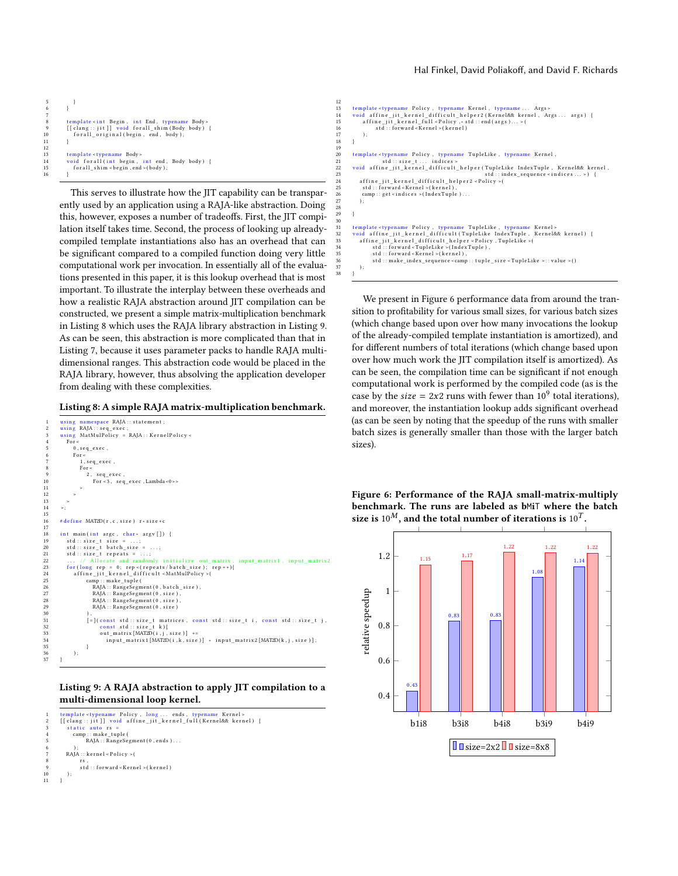```
\overline{\phantom{a}}8 template < int Begin, int End, typename Body > [[clang::jit]] void forall_shim (Body body) {
<sup>10</sup> f orall charges in the gin, the End, typenam<br>
<sup>9</sup> [[clang :: jit]] void forall_shim (Body<br>
forall_original (begin, end, body);
13       template <typename  Body><br>14        void  forall (int  begin ,  int  end ,  Body  body)  {
15 for all \sin x in \cos x , end \sin x (body);
16 }
```
This serves to illustrate how the JIT capability can be transparently used by an application using a RAJA-like abstraction. Doing this, however, exposes a number of tradeoffs. First, the JIT compilation itself takes time. Second, the process of looking up alreadycompiled template instantiations also has an overhead that can be significant compared to a compiled function doing very little computational work per invocation. In essentially all of the evaluations presented in this paper, it is this lookup overhead that is most important. To illustrate the interplay between these overheads and how a realistic RAJA abstraction around JIT compilation can be constructed, we present a simple matrix-multiplication benchmark in Listing [8](#page-7-0) which uses the RAJA library abstraction in Listing [9.](#page-7-1) As can be seen, this abstraction is more complicated than that in Listing [7,](#page-6-6) because it uses parameter packs to handle RAJA multidimensional ranges. This abstraction code would be placed in the RAJA library, however, thus absolving the application developer from dealing with these complexities.

#### <span id="page-7-0"></span>Listing 8: A simple RAJA matrix-multiplication benchmark.

```
using namespace RAJA :: statement;
  2 using RAJA::seq_exec;<br>3 using MatMulPolicy = RAJA::KernelPolicy<
            For <0 , \verb|seq_e\verb|ex|ec ,
  \begin{array}{lll} 6 & \hspace*{2.5mm} \text{For} < \hspace*{2.5mm} \text{7} & \hspace*{2.5mm} 1 \, , \, \text{seq\_exec} \, , \ \text{8} & \hspace*{2.5mm} \text{For} < \hspace*{2.5mm} \end{array}9 2, seq_exec,<br>
10 For <3, seq_exec, Lambda <0>>
 14 >;
15
16 # define MAT2D(r, c, size) r * size + c18 int main (int argc, char* argv []) {<br>19 std::size_t size = ...;
 9 std::size_t size = ...;<br>20 std::size_t batch_size = ...;<br>21 std::size_t repeats = ...;<br>22 ... // Allocate and randomly initialize out_matrix, input_matrix1, input_matrix2<br>23 ... // Allocate and randomly initialize out_ma
24 a ffine jit kernel difficult <MatMulPolicy >(
 25 camp : : make_tuple (<br>26 RAJA : : RangeSegment (0 , batch_size ) ,
                           RAJA : : RangeSegment (0, size)
 28 RAJA : : RangeSegmen t ( 0 , s i z e ) ,
29 RAJA : : RangeSegmen t ( 0 , s i z e )
31 [=] ( const std :: size_t matrices, const std :: size_t i, const std :: size_t j,<br>32 const std :: size_t k}{<br>out_matrix [MATZD(i, j, size)] += _
 32 const std::size_t k){<br>33 out_matrix[MAT2D(i,j,size)] +=
34 in put_matrix1 [MAT2D( i , k , size )] \star in put_matrix2 [MAT2D( k , j , size )];<br>35
 35 }
               ) ;
 37 }
```
#### <span id="page-7-1"></span>Listing 9: A RAJA abstraction to apply JIT compilation to a multi-dimensional loop kernel.

```
1 template <typename Policy, long... ends, typename Kernel><br>2 [[clang::jit]] void affine_jit_kernel_full(Kernel&& kernel) {
          static auto rs
           camp : : make_tuple (
                  RAJA : : RangeSegment (0, ends)...
 6 ) ;
7 RAJA : : k e r n el < P o li c y >(
 8 \t rs,std :: forward < Kernel > (kernel)10 );
```


We present in Figure [6](#page-7-2) performance data from around the transition to profitability for various small sizes, for various batch sizes (which change based upon over how many invocations the lookup of the already-compiled template instantiation is amortized), and for different numbers of total iterations (which change based upon over how much work the JIT compilation itself is amortized). As can be seen, the compilation time can be significant if not enough computational work is performed by the compiled code (as is the case by the *size* =  $2x2$  runs with fewer than  $10^9$  total iterations), and moreover, the instantiation lookup adds significant overhead (as can be seen by noting that the speedup of the runs with smaller batch sizes is generally smaller than those with the larger batch sizes).

# <span id="page-7-2"></span>Figure 6: Performance of the RAJA small-matrix-multiply benchmark. The runs are labeled as bMiT where the batch size is  $10^M$ , and the total number of iterations is  $10^T.$



11 }

6 } 7

11 } 12<br>13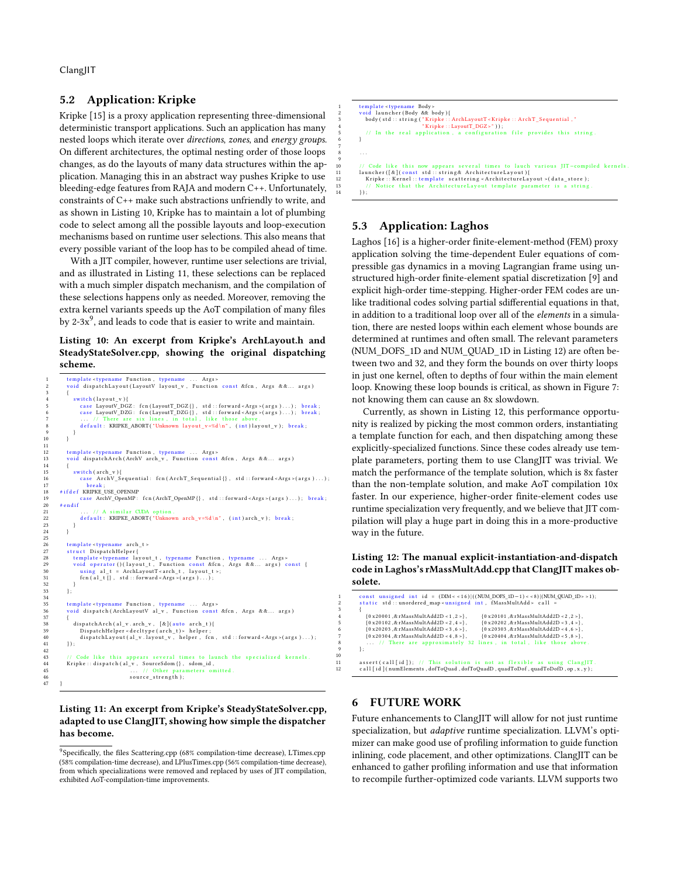## 5.2 Application: Kripke

Kripke [\[15\]](#page-10-21) is a proxy application representing three-dimensional deterministic transport applications. Such an application has many nested loops which iterate over directions, zones, and energy groups. On different architectures, the optimal nesting order of those loops changes, as do the layouts of many data structures within the application. Managing this in an abstract way pushes Kripke to use bleeding-edge features from RAJA and modern C++. Unfortunately, constraints of C++ make such abstractions unfriendly to write, and as shown in Listing [10,](#page-8-1) Kripke has to maintain a lot of plumbing code to select among all the possible layouts and loop-execution mechanisms based on runtime user selections. This also means that every possible variant of the loop has to be compiled ahead of time.

With a JIT compiler, however, runtime user selections are trivial, and as illustrated in Listing [11,](#page-8-2) these selections can be replaced with a much simpler dispatch mechanism, and the compilation of these selections happens only as needed. Moreover, removing the extra kernel variants speeds up the AoT compilation of many files by 2-3 $x^9$  $x^9$ , and leads to code that is easier to write and maintain.

### <span id="page-8-1"></span>Listing 10: An excerpt from Kripke's ArchLayout.h and SteadyStateSolver.cpp, showing the original dispatching scheme.

```
1      template <typename Function , typename ... Args ><br>2      void dispatchLayout(LayoutV layout_v , Function const &fcn , Args &&... args)
  3 {
                   switch (layout v) {
  5 case LayoutV_DGZ: fcn(LayoutT_DGZ{}, std::forward<Args>(args)...); break;<br>6 case LayoutV_DZG: fcn(LayoutT_DZG{}, std::forward<Args>(args)...); break;<br>7 ... // There are six lines, in total, like those above.
                       default: KRIPKE_ABORT ("Unknown layout_v=%d\n", (int)layout_v); break;
  9 }
 12 template <typename Function, typename ... Args><br>13 void dispatchArch(ArchV arch_v, Function const &fcn, Args &&... args)
15 \begin{cases}\n\text{switch (arch_v)} \\
\text{16}\n\end{cases}<br>
17 \begin{cases}\n\text{case } \text{ArchV\_S} \\
\text{break}\n\end{cases}ArchV_Sequential: fcn(ArchT_Sequential{}, std::forward<Args>(args)...);
 17 break;<br>18 #ifdef KRIPKE_USE_OPENMP
19 case ArchV_OpenMP : fcn (ArchT_OpenMP {} , std :: forward <Args >(args )...); break ; 20 \#endif ... // A similar CUDA option .
          # e n d i f
21 . . . / / A s i m i l a r CUDA o p ti o n .
                       de fault : KRIPKE_ABORT ("Unknown arch_v=%d\n", (int)arch_v); break;
 23 }
24 }
              template <typename arch t >
               struct DispatchHelper{
 28 t em pl a t e <typename l a y o u t _ t , typename F u n c ti o n , typename . . . Args >
29 v oi d o p e r a t o r ( ) ( l a y o u t _ t , F u n c ti o n c o n s t &fcn , Args & & . . . a r g s ) c o n s t {
30 u si n g a l _ t = ArchLayou tT < a r c h _ t , l a y o u t _ t > ;
                  \lim_{n \to \infty} \frac{a_1}{a_2} = \lim_{n \to \infty} \frac{a_2}{a_1} + \lim_{n \to \infty} \frac{a_2}{a_2} + \lim_{n \to \infty} \frac{a_1}{a_2} + \lim_{n \to \infty} \frac{a_2}{a_1} + \lim_{n \to \infty} \frac{a_2}{a_2} + \lim_{n \to \infty} \frac{a_1}{a_2} + \lim_{n \to \infty} \frac{a_2}{a_1} + \lim_{n \to \infty} \frac{a_2}{a_2} + \lim_{n \to \infty} \frac{a_1}{a_2} +\begin{array}{ccc} 29 & & \\ 30 & & \\ 31 & & \\ 32 & & \\ 33 & & \\ \end{array} \hspace{0.2cm} \big\} \, ;33 } ;
34
 35      template <typename Function , typename  ...  Args><br>36       void  dispatch(ArchLayoutV  al_v ,  Function  const &fcn ,  Args &&...  args)
 38 di s p a t c hA r c h ( a l _ v . a rch_v , [ & ]( a u t o a r c h _ t ) {
39 Di s p a t c h H el p e r < d e c l t y p e ( a r c h _ t ) > h e l p e r ;
              dispatchLayout(a_1_v.layout_v, helper, fen, std::forward <br/>Args>(args)....);
 41 });
 43 // Code like this appears several times to launch the specialized kernels.<br>44    Kripke::dispatch(al_v, SourceSdom{}, sdom_id,
 45 ... // Other parameters omitted.
                                                      source_strength );
 47 }
```
### <span id="page-8-2"></span>Listing 11: An excerpt from Kripke's SteadyStateSolver.cpp, adapted to use ClangJIT, showing how simple the dispatcher has become.

```
1 template <typename Body><br>2 void launcher (Body && body){<br>3 body (std :: string ("Kripke :: ArchLayoutT<Kripke :: ArchT_Sequential ,"<br>4 kripke :: LayoutT_DGZ>")};
                \frac{1}{1} In the real application, a configuration file provides this string
  6 }
  8 . . .
             .<br>110 / / Code like this now appears several times to lauch various JIT-compiled kernels
10 10 10 11 let this now appears several times to lauch<br>11 launcher ([&](const std::string& ArchitectureLayout){<br>12 Kripke::Kernel::template scattering <ArchitectureLay
               Kripke :: Kernel :: template scattering < ArchitectureLayout >(data_store);<br>// Notice that the ArchitectureLayout template parameter is a string
                      pressure that the ArchitectureLay
            \left\{ \right\} ;
```
# 5.3 Application: Laghos

7

9

Laghos [\[16\]](#page-10-22) is a higher-order finite-element-method (FEM) proxy application solving the time-dependent Euler equations of compressible gas dynamics in a moving Lagrangian frame using unstructured high-order finite-element spatial discretization [\[9\]](#page-10-23) and explicit high-order time-stepping. Higher-order FEM codes are unlike traditional codes solving partial sdifferential equations in that, in addition to a traditional loop over all of the elements in a simulation, there are nested loops within each element whose bounds are determined at runtimes and often small. The relevant parameters (NUM\_DOFS\_1D and NUM\_QUAD\_1D in Listing [12\)](#page-8-4) are often between two and 32, and they form the bounds on over thirty loops in just one kernel, often to depths of four within the main element loop. Knowing these loop bounds is critical, as shown in Figure [7:](#page-9-1) not knowing them can cause an 8x slowdown.

Currently, as shown in Listing [12,](#page-8-4) this performance opportunity is realized by picking the most common orders, instantiating a template function for each, and then dispatching among these explicitly-specialized functions. Since these codes already use template parameters, porting them to use ClangJIT was trivial. We match the performance of the template solution, which is 8x faster than the non-template solution, and make AoT compilation 10x faster. In our experience, higher-order finite-element codes use runtime specialization very frequently, and we believe that JIT compilation will play a huge part in doing this in a more-productive way in the future.

<span id="page-8-4"></span>Listing 12: The manual explicit-instantiation-and-dispatch code in Laghos's rMassMultAdd.cpp that ClangJIT makes obsolete.

| 1<br>$\overline{c}$ | const unsigned int id = $(DIM < 16)$ ]((NUM_DOFS_1D-1) < $8$ ) (NUM_QUAD_1D> >1);<br>static std::unordered map <unsigned fmassmultadd="" int,=""> call =</unsigned> |
|---------------------|---------------------------------------------------------------------------------------------------------------------------------------------------------------------|
| 3                   |                                                                                                                                                                     |
| $\overline{4}$      | ${0 x 20 101}$ , & rMassMultAdd2D < 2, 2 > },<br>${0 x20001}$ , & rMassMultAdd2D < 1, 2 > }.                                                                        |
| -5                  | ${0 x 20 102}$ , & rMassMultAdd2D < 2, 4 > },<br>${0 x 20 202}$ , & rMassMultAdd2D < 3, 4 > },                                                                      |
| 6                   | ${0 x 20 203}$ , & rMassMultAdd2D < 3, 6 > },<br>${0 x 20303}$ , & rMassMultAdd2D < 4, 6 > },                                                                       |
| 7                   | ${0 x 20304, & r MassMultiAdd2D < 4, 8 >}$<br>${0 x 20 404, & r MassMultiAdd2D < 5, 8 >},$                                                                          |
| 8                   | // There are approximately 32 lines, in total, like those above.                                                                                                    |
| 9                   | ۱.                                                                                                                                                                  |
| 10                  |                                                                                                                                                                     |
| 11                  | assert (call [id]); // This solution is not as flexible as using ClangIIT.                                                                                          |
| 12                  | call [id] (numElements, dofToQuad, dofToQuadD, quadToDof, quadToDofD, op, x, y);                                                                                    |
|                     |                                                                                                                                                                     |

# <span id="page-8-0"></span>6 FUTURE WORK

10

Future enhancements to ClangJIT will allow for not just runtime specialization, but *adaptive* runtime specialization. LLVM's optimizer can make good use of profiling information to guide function inlining, code placement, and other optimizations. ClangJIT can be enhanced to gather profiling information and use that information to recompile further-optimized code variants. LLVM supports two

<span id="page-8-3"></span><sup>&</sup>lt;sup>9</sup>Specifically, the files Scattering.cpp (68% compilation-time decrease), LTimes.cpp (58% compilation-time decrease), and LPlusTimes.cpp (56% compilation-time decrease), from which specializations were removed and replaced by uses of JIT compilation, exhibited AoT-compilation-time improvements.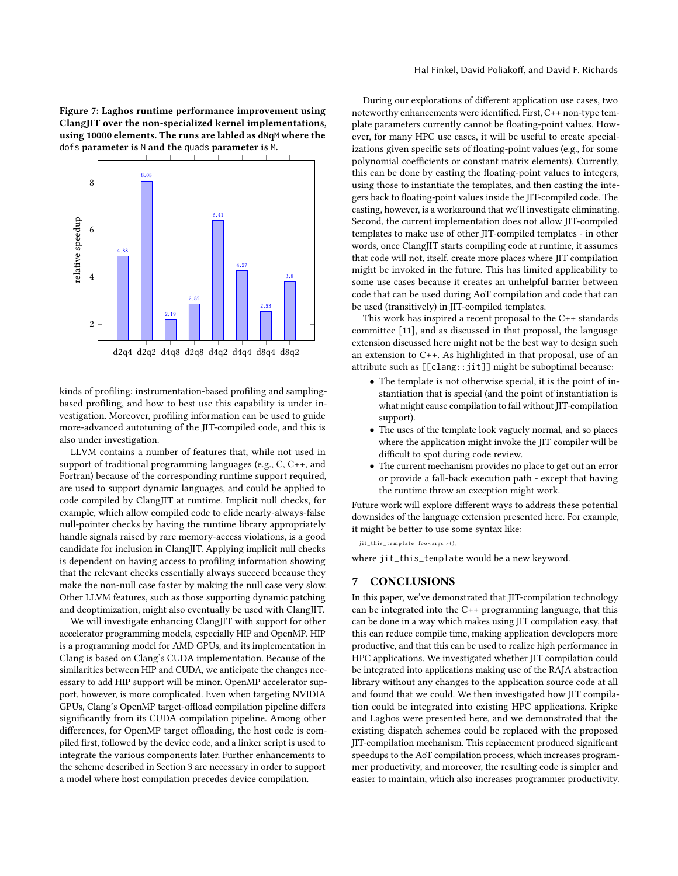<span id="page-9-1"></span>Figure 7: Laghos runtime performance improvement using ClangJIT over the non-specialized kernel implementations, using 10000 elements. The runs are labled as dNqM where the dofs parameter is N and the quads parameter is M.



kinds of profiling: instrumentation-based profiling and samplingbased profiling, and how to best use this capability is under investigation. Moreover, profiling information can be used to guide more-advanced autotuning of the JIT-compiled code, and this is also under investigation.

LLVM contains a number of features that, while not used in support of traditional programming languages (e.g., C, C++, and Fortran) because of the corresponding runtime support required, are used to support dynamic languages, and could be applied to code compiled by ClangJIT at runtime. Implicit null checks, for example, which allow compiled code to elide nearly-always-false null-pointer checks by having the runtime library appropriately handle signals raised by rare memory-access violations, is a good candidate for inclusion in ClangJIT. Applying implicit null checks is dependent on having access to profiling information showing that the relevant checks essentially always succeed because they make the non-null case faster by making the null case very slow. Other LLVM features, such as those supporting dynamic patching and deoptimization, might also eventually be used with ClangJIT.

We will investigate enhancing ClangJIT with support for other accelerator programming models, especially HIP and OpenMP. HIP is a programming model for AMD GPUs, and its implementation in Clang is based on Clang's CUDA implementation. Because of the similarities between HIP and CUDA, we anticipate the changes necessary to add HIP support will be minor. OpenMP accelerator support, however, is more complicated. Even when targeting NVIDIA GPUs, Clang's OpenMP target-offload compilation pipeline differs significantly from its CUDA compilation pipeline. Among other differences, for OpenMP target offloading, the host code is compiled first, followed by the device code, and a linker script is used to integrate the various components later. Further enhancements to the scheme described in Section [3](#page-2-0) are necessary in order to support a model where host compilation precedes device compilation.

During our explorations of different application use cases, two noteworthy enhancements were identified. First, C++ non-type template parameters currently cannot be floating-point values. However, for many HPC use cases, it will be useful to create specializations given specific sets of floating-point values (e.g., for some polynomial coefficients or constant matrix elements). Currently, this can be done by casting the floating-point values to integers, using those to instantiate the templates, and then casting the integers back to floating-point values inside the JIT-compiled code. The casting, however, is a workaround that we'll investigate eliminating. Second, the current implementation does not allow JIT-compiled templates to make use of other JIT-compiled templates - in other words, once ClangJIT starts compiling code at runtime, it assumes that code will not, itself, create more places where JIT compilation might be invoked in the future. This has limited applicability to some use cases because it creates an unhelpful barrier between code that can be used during AoT compilation and code that can be used (transitively) in JIT-compiled templates.

This work has inspired a recent proposal to the C++ standards committee [\[11\]](#page-10-24), and as discussed in that proposal, the language extension discussed here might not be the best way to design such an extension to C++. As highlighted in that proposal, use of an attribute such as [[clang::jit]] might be suboptimal because:

- The template is not otherwise special, it is the point of instantiation that is special (and the point of instantiation is what might cause compilation to fail without JIT-compilation support).
- The uses of the template look vaguely normal, and so places where the application might invoke the JIT compiler will be difficult to spot during code review.
- The current mechanism provides no place to get out an error or provide a fall-back execution path - except that having the runtime throw an exception might work.

Future work will explore different ways to address these potential downsides of the language extension presented here. For example, it might be better to use some syntax like:

jit\_this\_template foo < argc > ();

where jit\_this\_template would be a new keyword.

#### <span id="page-9-0"></span>7 CONCLUSIONS

In this paper, we've demonstrated that JIT-compilation technology can be integrated into the C++ programming language, that this can be done in a way which makes using JIT compilation easy, that this can reduce compile time, making application developers more productive, and that this can be used to realize high performance in HPC applications. We investigated whether JIT compilation could be integrated into applications making use of the RAJA abstraction library without any changes to the application source code at all and found that we could. We then investigated how JIT compilation could be integrated into existing HPC applications. Kripke and Laghos were presented here, and we demonstrated that the existing dispatch schemes could be replaced with the proposed JIT-compilation mechanism. This replacement produced significant speedups to the AoT compilation process, which increases programmer productivity, and moreover, the resulting code is simpler and easier to maintain, which also increases programmer productivity.